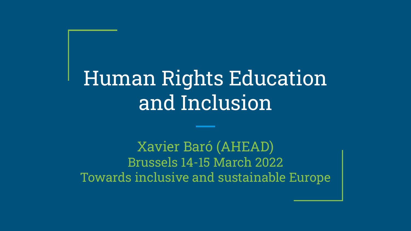## Human Rights Education and Inclusion

Xavier Baró (AHEAD) Brussels 14-15 March 2022 Towards inclusive and sustainable Europe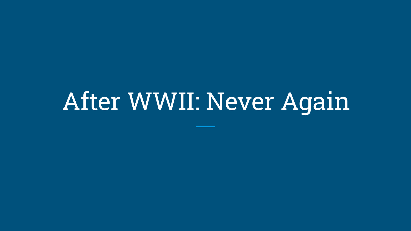# After WWII: Never Again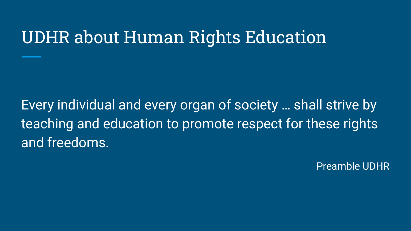#### UDHR about Human Rights Education

Every individual and every organ of society … shall strive by teaching and education to promote respect for these rights and freedoms.

Preamble UDHR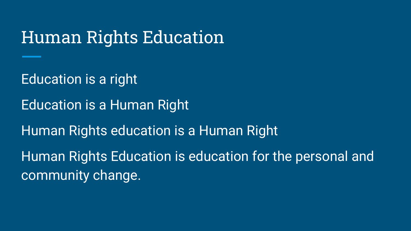#### Human Rights Education

Education is a right

Education is a Human Right

Human Rights education is a Human Right

Human Rights Education is education for the personal and community change.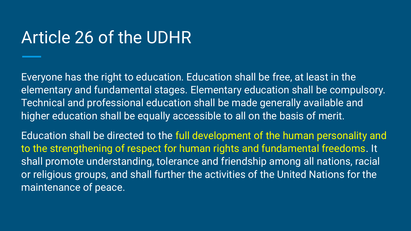#### Article 26 of the UDHR

Everyone has the right to education. Education shall be free, at least in the elementary and fundamental stages. Elementary education shall be compulsory. Technical and professional education shall be made generally available and higher education shall be equally accessible to all on the basis of merit.

Education shall be directed to the full development of the human personality and to the strengthening of respect for human rights and fundamental freedoms. It shall promote understanding, tolerance and friendship among all nations, racial or religious groups, and shall further the activities of the United Nations for the maintenance of peace.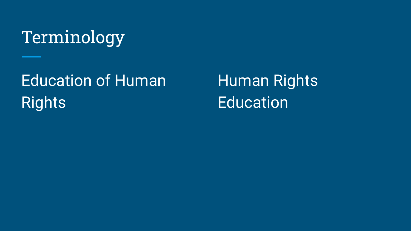

### Education of Human Rights

Human Rights **Education**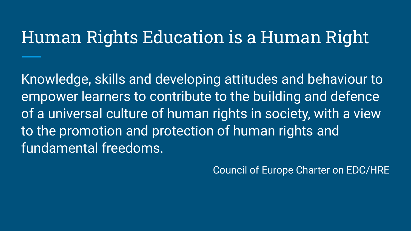#### Human Rights Education is a Human Right

Knowledge, skills and developing attitudes and behaviour to empower learners to contribute to the building and defence of a universal culture of human rights in society, with a view to the promotion and protection of human rights and fundamental freedoms.

Council of Europe Charter on EDC/HRE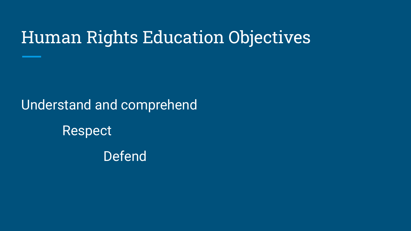#### Human Rights Education Objectives

Understand and comprehend Respect Defend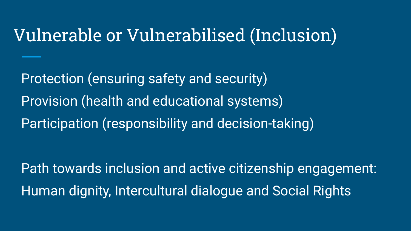#### Vulnerable or Vulnerabilised (Inclusion)

Protection (ensuring safety and security) Provision (health and educational systems) Participation (responsibility and decision-taking)

Path towards inclusion and active citizenship engagement: Human dignity, Intercultural dialogue and Social Rights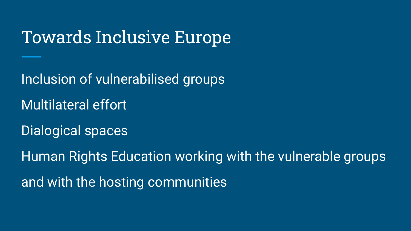#### Towards Inclusive Europe

Inclusion of vulnerabilised groups Multilateral effort Dialogical spaces

Human Rights Education working with the vulnerable groups and with the hosting communities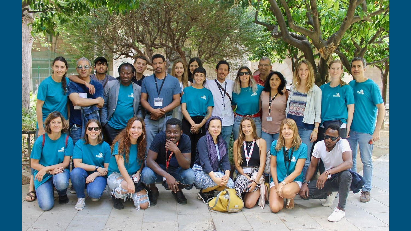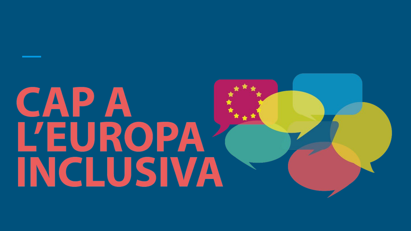# **CAPA** L'EUROPA<sup>2</sup> **INCLUSIVA**